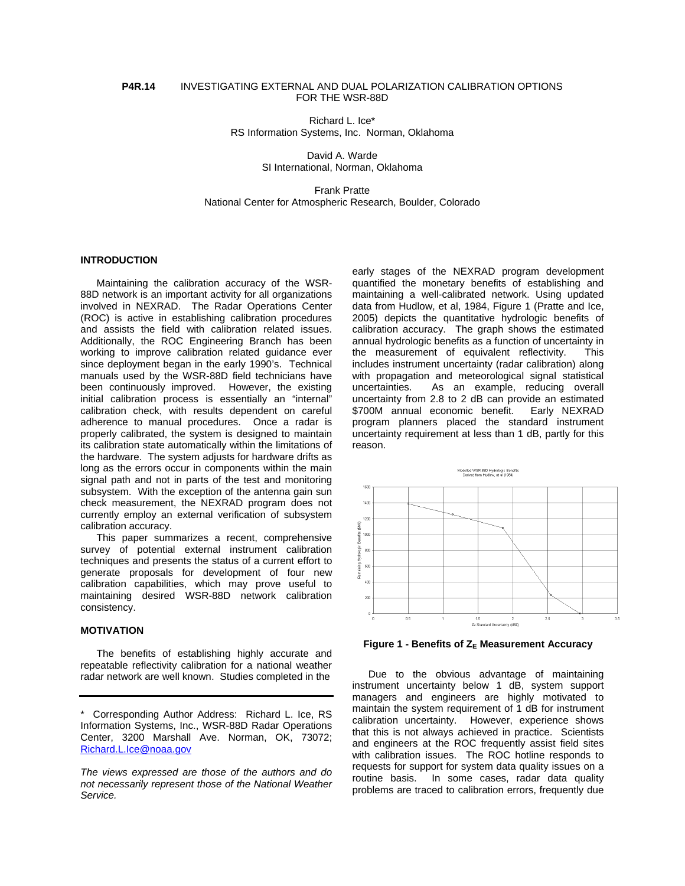## **P4R.14** INVESTIGATING EXTERNAL AND DUAL POLARIZATION CALIBRATION OPTIONS FOR THE WSR-88D

Richard L. Ice\* RS Information Systems, Inc. Norman, Oklahoma

> David A. Warde SI International, Norman, Oklahoma

Frank Pratte National Center for Atmospheric Research, Boulder, Colorado

### **INTRODUCTION**

Maintaining the calibration accuracy of the WSR-88D network is an important activity for all organizations involved in NEXRAD. The Radar Operations Center (ROC) is active in establishing calibration procedures and assists the field with calibration related issues. Additionally, the ROC Engineering Branch has been working to improve calibration related guidance ever since deployment began in the early 1990's. Technical manuals used by the WSR-88D field technicians have been continuously improved. However, the existing initial calibration process is essentially an "internal" calibration check, with results dependent on careful adherence to manual procedures. Once a radar is properly calibrated, the system is designed to maintain its calibration state automatically within the limitations of the hardware. The system adjusts for hardware drifts as long as the errors occur in components within the main signal path and not in parts of the test and monitoring subsystem. With the exception of the antenna gain sun check measurement, the NEXRAD program does not currently employ an external verification of subsystem calibration accuracy.

This paper summarizes a recent, comprehensive survey of potential external instrument calibration techniques and presents the status of a current effort to generate proposals for development of four new calibration capabilities, which may prove useful to maintaining desired WSR-88D network calibration consistency.

#### **MOTIVATION**

The benefits of establishing highly accurate and repeatable reflectivity calibration for a national weather radar network are well known. Studies completed in the

early stages of the NEXRAD program development quantified the monetary benefits of establishing and maintaining a well-calibrated network. Using updated data from Hudlow, et al, 1984, Figure 1 (Pratte and Ice, 2005) depicts the quantitative hydrologic benefits of calibration accuracy. The graph shows the estimated annual hydrologic benefits as a function of uncertainty in the measurement of equivalent reflectivity. This includes instrument uncertainty (radar calibration) along with propagation and meteorological signal statistical uncertainties. As an example, reducing overall uncertainty from 2.8 to 2 dB can provide an estimated \$700M annual economic benefit. Early NEXRAD program planners placed the standard instrument uncertainty requirement at less than 1 dB, partly for this reason.



Figure 1 - Benefits of Z<sub>E</sub> Measurement Accuracy

Due to the obvious advantage of maintaining instrument uncertainty below 1 dB, system support managers and engineers are highly motivated to maintain the system requirement of 1 dB for instrument calibration uncertainty. However, experience shows that this is not always achieved in practice. Scientists and engineers at the ROC frequently assist field sites with calibration issues. The ROC hotline responds to requests for support for system data quality issues on a routine basis. In some cases, radar data quality problems are traced to calibration errors, frequently due

<sup>\*</sup> Corresponding Author Address: Richard L. Ice, RS Information Systems, Inc., WSR-88D Radar Operations Center, 3200 Marshall Ave. Norman, OK, 73072; [Richard.L.Ice@noaa.gov](mailto:Richard.L.Ice@noaa.gov)

*The views expressed are those of the authors and do not necessarily represent those of the National Weather Service.*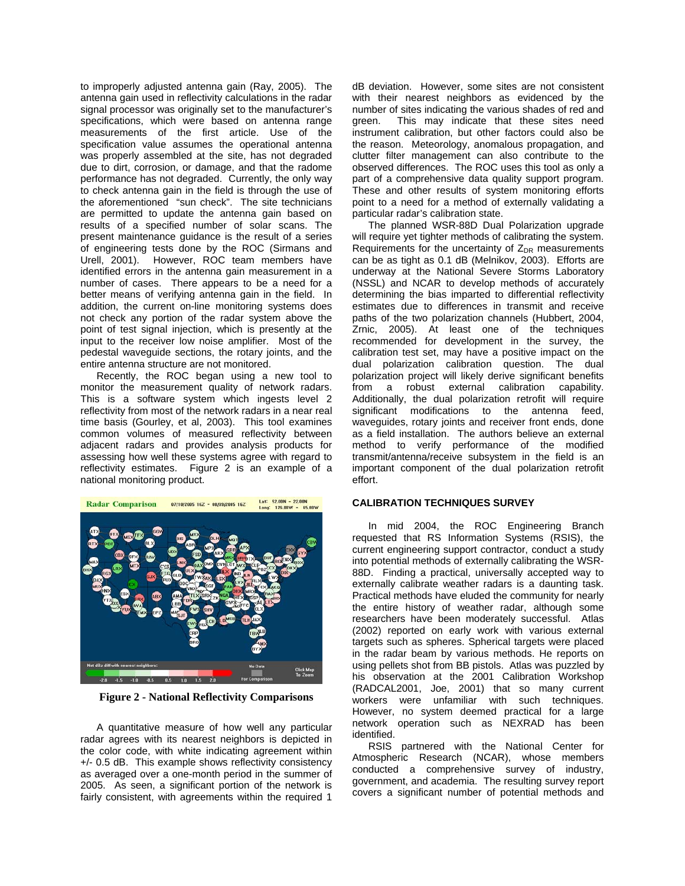to improperly adjusted antenna gain (Ray, 2005). The antenna gain used in reflectivity calculations in the radar signal processor was originally set to the manufacturer's specifications, which were based on antenna range measurements of the first article. Use of the specification value assumes the operational antenna was properly assembled at the site, has not degraded due to dirt, corrosion, or damage, and that the radome performance has not degraded. Currently, the only way to check antenna gain in the field is through the use of the aforementioned "sun check". The site technicians are permitted to update the antenna gain based on results of a specified number of solar scans. The present maintenance guidance is the result of a series of engineering tests done by the ROC (Sirmans and Urell, 2001). However, ROC team members have identified errors in the antenna gain measurement in a number of cases. There appears to be a need for a better means of verifying antenna gain in the field. In addition, the current on-line monitoring systems does not check any portion of the radar system above the point of test signal injection, which is presently at the input to the receiver low noise amplifier. Most of the pedestal waveguide sections, the rotary joints, and the entire antenna structure are not monitored.

Recently, the ROC began using a new tool to monitor the measurement quality of network radars. This is a software system which ingests level 2 reflectivity from most of the network radars in a near real time basis (Gourley, et al, 2003). This tool examines common volumes of measured reflectivity between adjacent radars and provides analysis products for assessing how well these systems agree with regard to reflectivity estimates. Figure 2 is an example of a national monitoring product.



**Figure 2 - National Reflectivity Comparisons** 

A quantitative measure of how well any particular radar agrees with its nearest neighbors is depicted in the color code, with white indicating agreement within +/- 0.5 dB. This example shows reflectivity consistency as averaged over a one-month period in the summer of 2005. As seen, a significant portion of the network is fairly consistent, with agreements within the required 1

dB deviation. However, some sites are not consistent with their nearest neighbors as evidenced by the number of sites indicating the various shades of red and green. This may indicate that these sites need instrument calibration, but other factors could also be the reason. Meteorology, anomalous propagation, and clutter filter management can also contribute to the observed differences. The ROC uses this tool as only a part of a comprehensive data quality support program. These and other results of system monitoring efforts point to a need for a method of externally validating a particular radar's calibration state.

The planned WSR-88D Dual Polarization upgrade will require yet tighter methods of calibrating the system. Requirements for the uncertainty of  $Z_{DR}$  measurements can be as tight as 0.1 dB (Melnikov, 2003). Efforts are underway at the National Severe Storms Laboratory (NSSL) and NCAR to develop methods of accurately determining the bias imparted to differential reflectivity estimates due to differences in transmit and receive paths of the two polarization channels (Hubbert, 2004, Zrnic, 2005). At least one of the techniques recommended for development in the survey, the calibration test set, may have a positive impact on the dual polarization calibration question. The dual polarization project will likely derive significant benefits from a robust external calibration capability. Additionally, the dual polarization retrofit will require significant modifications to the antenna feed, waveguides, rotary joints and receiver front ends, done as a field installation. The authors believe an external method to verify performance of the modified transmit/antenna/receive subsystem in the field is an important component of the dual polarization retrofit effort.

## **CALIBRATION TECHNIQUES SURVEY**

In mid 2004, the ROC Engineering Branch requested that RS Information Systems (RSIS), the current engineering support contractor, conduct a study into potential methods of externally calibrating the WSR-88D. Finding a practical, universally accepted way to externally calibrate weather radars is a daunting task. Practical methods have eluded the community for nearly the entire history of weather radar, although some researchers have been moderately successful. Atlas (2002) reported on early work with various external targets such as spheres. Spherical targets were placed in the radar beam by various methods. He reports on using pellets shot from BB pistols. Atlas was puzzled by his observation at the 2001 Calibration Workshop (RADCAL2001, Joe, 2001) that so many current workers were unfamiliar with such techniques. However, no system deemed practical for a large network operation such as NEXRAD has been identified.

RSIS partnered with the National Center for Atmospheric Research (NCAR), whose members conducted a comprehensive survey of industry, government, and academia. The resulting survey report covers a significant number of potential methods and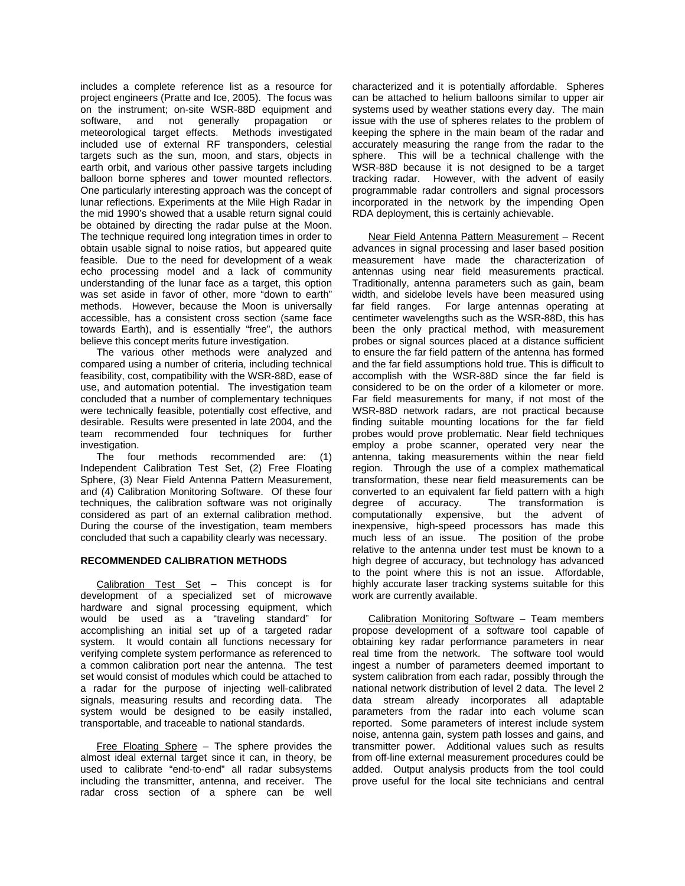includes a complete reference list as a resource for project engineers (Pratte and Ice, 2005). The focus was on the instrument; on-site WSR-88D equipment and software, and not generally propagation or meteorological target effects. Methods investigated included use of external RF transponders, celestial targets such as the sun, moon, and stars, objects in earth orbit, and various other passive targets including balloon borne spheres and tower mounted reflectors. One particularly interesting approach was the concept of lunar reflections. Experiments at the Mile High Radar in the mid 1990's showed that a usable return signal could be obtained by directing the radar pulse at the Moon. The technique required long integration times in order to obtain usable signal to noise ratios, but appeared quite feasible. Due to the need for development of a weak echo processing model and a lack of community understanding of the lunar face as a target, this option was set aside in favor of other, more "down to earth" methods. However, because the Moon is universally accessible, has a consistent cross section (same face towards Earth), and is essentially "free", the authors believe this concept merits future investigation.

The various other methods were analyzed and compared using a number of criteria, including technical feasibility, cost, compatibility with the WSR-88D, ease of use, and automation potential. The investigation team concluded that a number of complementary techniques were technically feasible, potentially cost effective, and desirable. Results were presented in late 2004, and the team recommended four techniques for further investigation.

The four methods recommended are: (1) Independent Calibration Test Set, (2) Free Floating Sphere, (3) Near Field Antenna Pattern Measurement, and (4) Calibration Monitoring Software. Of these four techniques, the calibration software was not originally considered as part of an external calibration method. During the course of the investigation, team members concluded that such a capability clearly was necessary.

### **RECOMMENDED CALIBRATION METHODS**

Calibration Test Set - This concept is for development of a specialized set of microwave hardware and signal processing equipment, which would be used as a "traveling standard" for accomplishing an initial set up of a targeted radar system. It would contain all functions necessary for verifying complete system performance as referenced to a common calibration port near the antenna. The test set would consist of modules which could be attached to a radar for the purpose of injecting well-calibrated signals, measuring results and recording data. The system would be designed to be easily installed, transportable, and traceable to national standards.

Free Floating Sphere – The sphere provides the almost ideal external target since it can, in theory, be used to calibrate "end-to-end" all radar subsystems including the transmitter, antenna, and receiver. The radar cross section of a sphere can be well

characterized and it is potentially affordable. Spheres can be attached to helium balloons similar to upper air systems used by weather stations every day. The main issue with the use of spheres relates to the problem of keeping the sphere in the main beam of the radar and accurately measuring the range from the radar to the sphere. This will be a technical challenge with the WSR-88D because it is not designed to be a target tracking radar. However, with the advent of easily programmable radar controllers and signal processors incorporated in the network by the impending Open RDA deployment, this is certainly achievable.

Near Field Antenna Pattern Measurement – Recent advances in signal processing and laser based position measurement have made the characterization of antennas using near field measurements practical. Traditionally, antenna parameters such as gain, beam width, and sidelobe levels have been measured using far field ranges. For large antennas operating at centimeter wavelengths such as the WSR-88D, this has been the only practical method, with measurement probes or signal sources placed at a distance sufficient to ensure the far field pattern of the antenna has formed and the far field assumptions hold true. This is difficult to accomplish with the WSR-88D since the far field is considered to be on the order of a kilometer or more. Far field measurements for many, if not most of the WSR-88D network radars, are not practical because finding suitable mounting locations for the far field probes would prove problematic. Near field techniques employ a probe scanner, operated very near the antenna, taking measurements within the near field region. Through the use of a complex mathematical transformation, these near field measurements can be converted to an equivalent far field pattern with a high degree of accuracy. The transformation is The transformation is computationally expensive, but the advent of inexpensive, high-speed processors has made this much less of an issue. The position of the probe relative to the antenna under test must be known to a high degree of accuracy, but technology has advanced to the point where this is not an issue. Affordable, highly accurate laser tracking systems suitable for this work are currently available.

Calibration Monitoring Software – Team members propose development of a software tool capable of obtaining key radar performance parameters in near real time from the network. The software tool would ingest a number of parameters deemed important to system calibration from each radar, possibly through the national network distribution of level 2 data. The level 2 data stream already incorporates all adaptable parameters from the radar into each volume scan reported. Some parameters of interest include system noise, antenna gain, system path losses and gains, and transmitter power. Additional values such as results from off-line external measurement procedures could be added. Output analysis products from the tool could prove useful for the local site technicians and central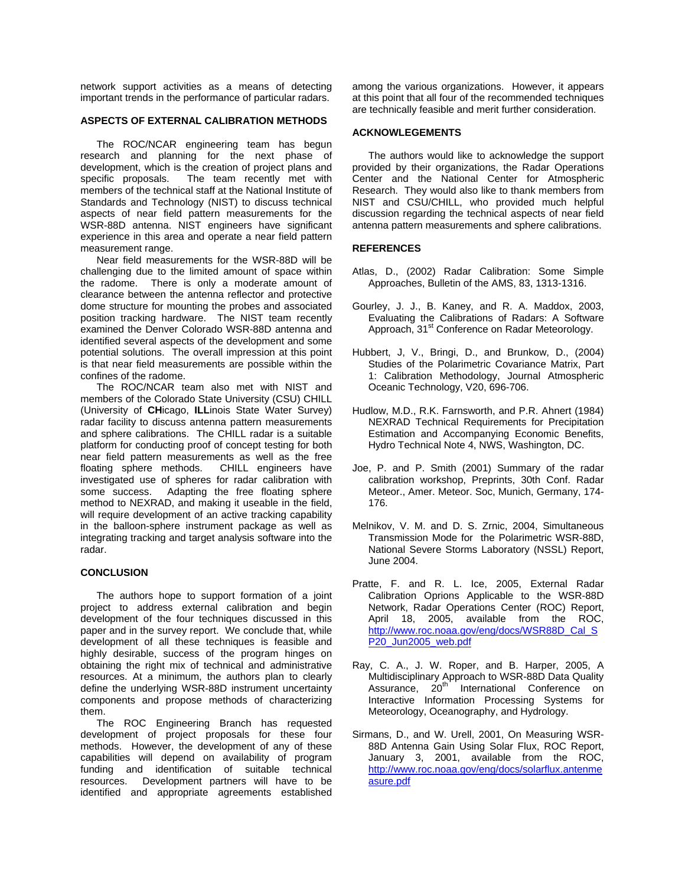network support activities as a means of detecting important trends in the performance of particular radars.

## **ASPECTS OF EXTERNAL CALIBRATION METHODS**

The ROC/NCAR engineering team has begun research and planning for the next phase of development, which is the creation of project plans and specific proposals. The team recently met with members of the technical staff at the National Institute of Standards and Technology (NIST) to discuss technical aspects of near field pattern measurements for the WSR-88D antenna. NIST engineers have significant experience in this area and operate a near field pattern measurement range.

Near field measurements for the WSR-88D will be challenging due to the limited amount of space within the radome. There is only a moderate amount of clearance between the antenna reflector and protective dome structure for mounting the probes and associated position tracking hardware. The NIST team recently examined the Denver Colorado WSR-88D antenna and identified several aspects of the development and some potential solutions. The overall impression at this point is that near field measurements are possible within the confines of the radome.

The ROC/NCAR team also met with NIST and members of the Colorado State University (CSU) CHILL (University of **CH**icago, **ILL**inois State Water Survey) radar facility to discuss antenna pattern measurements and sphere calibrations. The CHILL radar is a suitable platform for conducting proof of concept testing for both near field pattern measurements as well as the free<br>floating sphere methods. CHILL engineers have floating sphere methods. investigated use of spheres for radar calibration with some success. Adapting the free floating sphere method to NEXRAD, and making it useable in the field, will require development of an active tracking capability in the balloon-sphere instrument package as well as integrating tracking and target analysis software into the radar.

### **CONCLUSION**

The authors hope to support formation of a joint project to address external calibration and begin development of the four techniques discussed in this paper and in the survey report. We conclude that, while development of all these techniques is feasible and highly desirable, success of the program hinges on obtaining the right mix of technical and administrative resources. At a minimum, the authors plan to clearly define the underlying WSR-88D instrument uncertainty components and propose methods of characterizing them.

The ROC Engineering Branch has requested development of project proposals for these four methods. However, the development of any of these capabilities will depend on availability of program funding and identification of suitable technical resources. Development partners will have to be identified and appropriate agreements established

among the various organizations. However, it appears at this point that all four of the recommended techniques are technically feasible and merit further consideration.

## **ACKNOWLEGEMENTS**

The authors would like to acknowledge the support provided by their organizations, the Radar Operations Center and the National Center for Atmospheric Research. They would also like to thank members from NIST and CSU/CHILL, who provided much helpful discussion regarding the technical aspects of near field antenna pattern measurements and sphere calibrations.

# **REFERENCES**

- Atlas, D., (2002) Radar Calibration: Some Simple Approaches, Bulletin of the AMS, 83, 1313-1316.
- Gourley, J. J., B. Kaney, and R. A. Maddox, 2003, Evaluating the Calibrations of Radars: A Software Approach, 31<sup>st</sup> Conference on Radar Meteorology.
- Hubbert, J, V., Bringi, D., and Brunkow, D., (2004) Studies of the Polarimetric Covariance Matrix, Part 1: Calibration Methodology, Journal Atmospheric Oceanic Technology, V20, 696-706.
- Hudlow, M.D., R.K. Farnsworth, and P.R. Ahnert (1984) NEXRAD Technical Requirements for Precipitation Estimation and Accompanying Economic Benefits, Hydro Technical Note 4, NWS, Washington, DC.
- Joe, P. and P. Smith (2001) Summary of the radar calibration workshop, Preprints, 30th Conf. Radar Meteor., Amer. Meteor. Soc, Munich, Germany, 174- 176.
- Melnikov, V. M. and D. S. Zrnic, 2004, Simultaneous Transmission Mode for the Polarimetric WSR-88D, National Severe Storms Laboratory (NSSL) Report, June 2004.
- Pratte, F. and R. L. Ice, 2005, External Radar Calibration Oprions Applicable to the WSR-88D Network, Radar Operations Center (ROC) Report, April 18, 2005, available from the ROC, [http://www.roc.noaa.gov/eng/docs/WSR88D\\_Cal\\_S](http://www.roc.noaa.gov/eng/docs/WSR88D_Cal_SP20_Jun2005_web.pdf) [P20\\_Jun2005\\_web.pdf](http://www.roc.noaa.gov/eng/docs/WSR88D_Cal_SP20_Jun2005_web.pdf)
- Ray, C. A., J. W. Roper, and B. Harper, 2005, A Multidisciplinary Approach to WSR-88D Data Quality Assurance, 20<sup>th</sup> International Conference on Interactive Information Processing Systems for Meteorology, Oceanography, and Hydrology.
- Sirmans, D., and W. Urell, 2001, On Measuring WSR-88D Antenna Gain Using Solar Flux, ROC Report, January 3, 2001, available from the ROC, [http://www.roc.noaa.gov/eng/docs/solarflux.antenme](http://www.roc.noaa.gov/eng/docs/solarflux.antenmeasure.pdf) [asure.pdf](http://www.roc.noaa.gov/eng/docs/solarflux.antenmeasure.pdf)